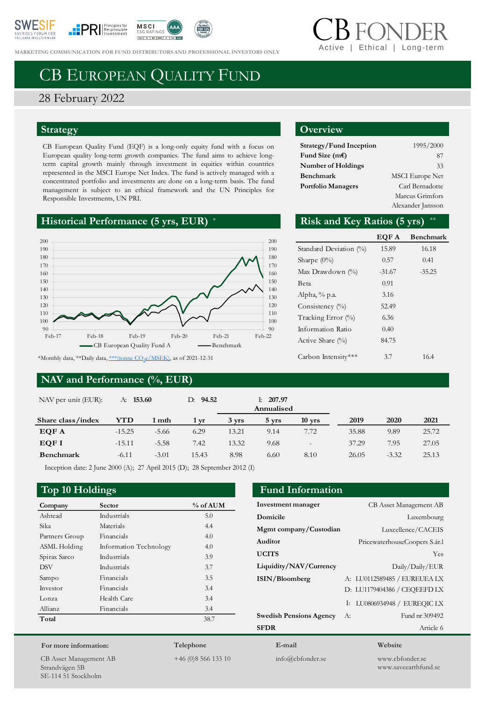





**MARKETING COMMUNICATION FOR FUND DISTRIBUTORS AND PROFESSIONAL INVESTORS ONLY** 

# Ethical | Long-terr

# CB EUROPEAN QUALITY FUND

## 28 February 2022

#### **Strategy**

CB European Quality Fund (EQF) is a long-only equity fund with a focus on European quality long-term growth companies. The fund aims to achieve longterm capital growth mainly through investment in equities within countries represented in the MSCI Europe Net Index. The fund is actively managed with a concentrated portfolio and investments are done on a long-term basis. The fund management is subject to an ethical framework and the UN Principles for Responsible Investments, UN PRI.

## **Historical Performance (5 yrs, EUR)**



#### **NAV and Performance (%, EUR)**

#### **Overview**

| Strategy/Fund Inception   | 1995/2000              |
|---------------------------|------------------------|
| Fund Size $(mE)$          | 87                     |
| <b>Number of Holdings</b> | 33                     |
| Benchmark                 | <b>MSCI</b> Europe Net |
| <b>Portfolio Managers</b> | Carl Bernadotte        |
|                           | Marcus Grimfors        |
|                           | Alexander Jansson      |

#### Risk and Key Ratios (5 yrs)

|                        | EQF A    | <b>Benchmark</b> |
|------------------------|----------|------------------|
| Standard Deviation (%) | 15.89    | 16.18            |
| Sharpe $(0\%)$         | 0.57     | 0.41             |
| Max Drawdown (%)       | $-31.67$ | $-35.25$         |
| Beta                   | 0.91     |                  |
| Alpha, % p.a.          | 3.16     |                  |
| Consistency $(\%)$     | 52.49    |                  |
| Tracking Error (%)     | 6.36     |                  |
| Information Ratio      | 0.40     |                  |
| Active Share (%)       | 84.75    |                  |
| Carbon Intensity***    | 3.7      | 16.4             |

**Investment manager** CB Asset Management AB **Domicile** Luxembourg **Mgmt company/Custodian** Luxcellence/CACEIS **Auditor** PricewaterhouseCoopers S.ár.l **UCITS** Yes **Liquidity/NAV/Currency** Daily/Daily/EUR **ISIN/Bloomberg** A: LU0112589485 / EUREUEA LX

**Swedish Pensions Agency** A: Fund nr 309492 **SFDR** Article 6

| NAV per unit (EUR): | A: 153.60 |         | D: 94.52 |       | 207.97<br>Ŀ.<br>Annualised |                          |       |         |       |
|---------------------|-----------|---------|----------|-------|----------------------------|--------------------------|-------|---------|-------|
| Share class/index   | YTD       | 1 mth   | 1 yr     | 3 yrs | $5 \, \mathrm{vrs}$        | $10 \text{ yrs}$         | 2019  | 2020    | 2021  |
| EQF A               | $-15.25$  | $-5.66$ | 6.29     | 13.21 | 9.14                       | 7.72                     | 35.88 | 9.89    | 25.72 |
| EQF I               | $-15.11$  | $-5.58$ | 7.42     | 13.32 | 9.68                       | $\overline{\phantom{a}}$ | 37.29 | 7.95    | 27.05 |
| <b>Benchmark</b>    | $-6.11$   | $-3.01$ | 15.43    | 8.98  | 6.60                       | 8.10                     | 26.05 | $-3.32$ | 25.13 |

Inception date: 2 June 2000 (A); 27 April 2015 (D); 28 September 2012 (I)

#### **Top 10 Holdings Fund Information**

| Company        | Sector                 | % of AUM |
|----------------|------------------------|----------|
| Ashtead        | Industrials            | 5.0      |
| Sika           | Materials              | 4.4      |
| Partners Group | Financials             | 4.0      |
| ASML Holding   | Information Technology | 4.0      |
| Spirax Sarco   | Industrials            | 3.9      |
| <b>DSV</b>     | Industrials            | 3.7      |
| Sampo          | Financials             | 3.5      |
| Investor       | Financials             | 3.4      |
| Lonza          | Health Care            | 3.4      |
| Allianz        | Financials             | 3.4      |
| Total          |                        | 38.7     |
|                |                        |          |

#### **For more information:**

CB Asset Management AB Strandvägen 5B SE-114 51 Stockholm

**Telephone**

+46 (0)8 566 133 10

**E-mail** info@cbfonder.se

#### **Website**

D: LU1179404386 / CEQEEFD LX I: LU0806934948 / EUREQIC LX

> www.cbfonder.se www.saveearthfund.se